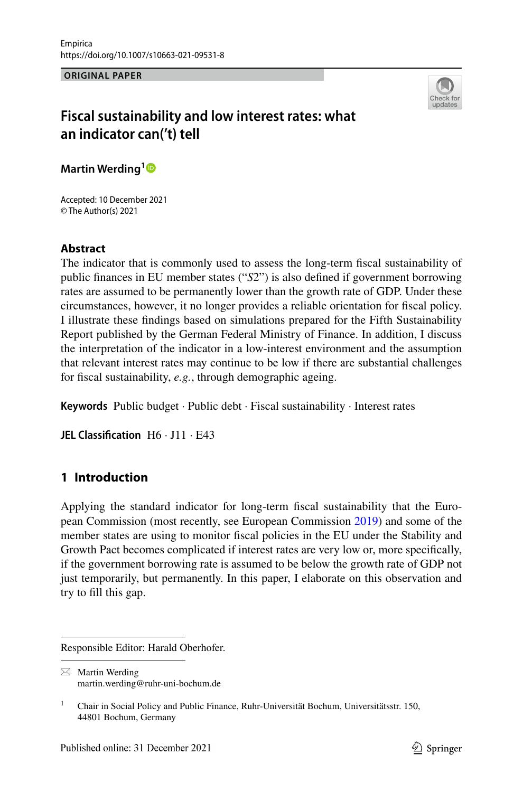**ORIGINAL PAPER**



# **Fiscal sustainability and low interest rates: what an indicator can('t) tell**

**Martin Werding[1](https://orcid.org/0000-0003-3833-8173)**

Accepted: 10 December 2021 © The Author(s) 2021

# **Abstract**

The indicator that is commonly used to assess the long-term fscal sustainability of public fnances in EU member states ("*S*2") is also defned if government borrowing rates are assumed to be permanently lower than the growth rate of GDP. Under these circumstances, however, it no longer provides a reliable orientation for fscal policy. I illustrate these fndings based on simulations prepared for the Fifth Sustainability Report published by the German Federal Ministry of Finance. In addition, I discuss the interpretation of the indicator in a low-interest environment and the assumption that relevant interest rates may continue to be low if there are substantial challenges for fscal sustainability, *e.g.*, through demographic ageing.

**Keywords** Public budget · Public debt · Fiscal sustainability · Interest rates

**JEL Classification** H6 · J11 · E43

# **1 Introduction**

Applying the standard indicator for long-term fscal sustainability that the European Commission (most recently, see European Commission [2019\)](#page-16-0) and some of the member states are using to monitor fscal policies in the EU under the Stability and Growth Pact becomes complicated if interest rates are very low or, more specifcally, if the government borrowing rate is assumed to be below the growth rate of GDP not just temporarily, but permanently. In this paper, I elaborate on this observation and try to fll this gap.

Responsible Editor: Harald Oberhofer.

 $\boxtimes$  Martin Werding martin.werding@ruhr-uni-bochum.de

<sup>&</sup>lt;sup>1</sup> Chair in Social Policy and Public Finance, Ruhr-Universität Bochum, Universitätsstr. 150, 44801 Bochum, Germany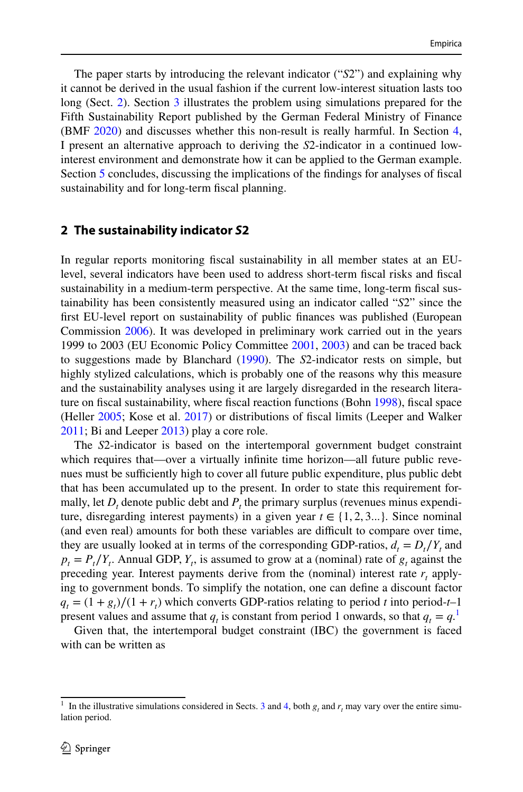The paper starts by introducing the relevant indicator ("*S*2") and explaining why it cannot be derived in the usual fashion if the current low-interest situation lasts too long (Sect. [2\)](#page-1-0). Section [3](#page-3-0) illustrates the problem using simulations prepared for the Fifth Sustainability Report published by the German Federal Ministry of Finance (BMF [2020\)](#page-16-1) and discusses whether this non-result is really harmful. In Section [4,](#page-9-0) I present an alternative approach to deriving the *S*2-indicator in a continued lowinterest environment and demonstrate how it can be applied to the German example. Section [5](#page-14-0) concludes, discussing the implications of the fndings for analyses of fscal sustainability and for long-term fscal planning.

### <span id="page-1-0"></span>**2 The sustainability indicator** *S***2**

In regular reports monitoring fscal sustainability in all member states at an EUlevel, several indicators have been used to address short-term fscal risks and fscal sustainability in a medium-term perspective. At the same time, long-term fscal sustainability has been consistently measured using an indicator called "*S*2" since the frst EU-level report on sustainability of public fnances was published (European Commission [2006](#page-16-2)). It was developed in preliminary work carried out in the years 1999 to 2003 (EU Economic Policy Committee [2001](#page-16-3), [2003](#page-16-4)) and can be traced back to suggestions made by Blanchard [\(1990](#page-16-5)). The *S*2-indicator rests on simple, but highly stylized calculations, which is probably one of the reasons why this measure and the sustainability analyses using it are largely disregarded in the research literature on fscal sustainability, where fscal reaction functions (Bohn [1998](#page-16-6)), fscal space (Heller [2005](#page-16-7); Kose et al. [2017](#page-16-8)) or distributions of fscal limits (Leeper and Walker [2011](#page-16-9); Bi and Leeper [2013](#page-16-10)) play a core role.

The *S*2-indicator is based on the intertemporal government budget constraint which requires that—over a virtually infinite time horizon—all future public revenues must be sufficiently high to cover all future public expenditure, plus public debt that has been accumulated up to the present. In order to state this requirement formally, let  $D_t$  denote public debt and  $P_t$  the primary surplus (revenues minus expenditure, disregarding interest payments) in a given year  $t \in \{1, 2, 3... \}$ . Since nominal (and even real) amounts for both these variables are difficult to compare over time, they are usually looked at in terms of the corresponding GDP-ratios,  $d_t = D_t/Y_t$  and  $p_t = P_t/Y_t$ . Annual GDP,  $Y_t$ , is assumed to grow at a (nominal) rate of  $g_t$  against the preceding year. Interest payments derive from the (nominal) interest rate  $r_t$  applying to government bonds. To simplify the notation, one can defne a discount factor  $q_t = (1 + g_t)/(1 + r_t)$  which converts GDP-ratios relating to period *t* into period-*t*–1 present values and assume that  $q_t$  is constant from period [1](#page-1-1) onwards, so that  $q_t = q$ .<sup>1</sup>

Given that, the intertemporal budget constraint (IBC) the government is faced with can be written as

<span id="page-1-1"></span><sup>&</sup>lt;sup>1</sup> In the illustrative simulations considered in Sects. [3](#page-3-0) and [4,](#page-9-0) both  $g_t$  and  $r_t$  may vary over the entire simulation period.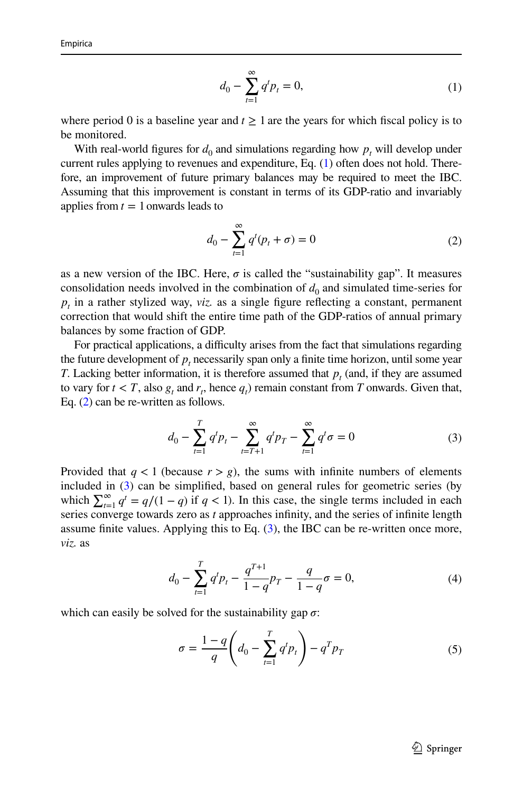<span id="page-2-0"></span>
$$
d_0 - \sum_{t=1}^{\infty} q^t p_t = 0,
$$
\n(1)

where period 0 is a baseline year and  $t \ge 1$  are the years for which fiscal policy is to be monitored.

With real-world figures for  $d_0$  and simulations regarding how  $p_t$  will develop under current rules applying to revenues and expenditure, Eq. ([1\)](#page-2-0) often does not hold. Therefore, an improvement of future primary balances may be required to meet the IBC. Assuming that this improvement is constant in terms of its GDP-ratio and invariably applies from  $t = 1$  onwards leads to

<span id="page-2-1"></span>
$$
d_0 - \sum_{t=1}^{\infty} q^t (p_t + \sigma) = 0
$$
 (2)

as a new version of the IBC. Here,  $\sigma$  is called the "sustainability gap". It measures consolidation needs involved in the combination of  $d_0$  and simulated time-series for  $p_t$  in a rather stylized way, *viz*. as a single figure reflecting a constant, permanent correction that would shift the entire time path of the GDP-ratios of annual primary balances by some fraction of GDP.

For practical applications, a difficulty arises from the fact that simulations regarding the future development of  $p_t$  necessarily span only a finite time horizon, until some year *T*. Lacking better information, it is therefore assumed that  $p_t$  (and, if they are assumed to vary for  $t < T$ , also  $g_t$  and  $r_t$ , hence  $q_t$ ) remain constant from *T* onwards. Given that, Eq. ([2\)](#page-2-1) can be re-written as follows.

<span id="page-2-2"></span>
$$
d_0 - \sum_{t=1}^T q^t p_t - \sum_{t=T+1}^\infty q^t p_T - \sum_{t=1}^\infty q^t \sigma = 0
$$
 (3)

Provided that  $q < 1$  (because  $r > g$ ), the sums with infinite numbers of elements included in [\(3](#page-2-2)) can be simplifed, based on general rules for geometric series (by which  $\sum_{t=1}^{\infty} q^t = q/(1-q)$  if  $q < 1$ ). In this case, the single terms included in each series converge towards zero as *t* approaches infnity, and the series of infnite length assume finite values. Applying this to Eq.  $(3)$  $(3)$ , the IBC can be re-written once more, *viz.* as

<span id="page-2-3"></span>
$$
d_0 - \sum_{t=1}^{T} q^t p_t - \frac{q^{T+1}}{1-q} p_T - \frac{q}{1-q} \sigma = 0,
$$
\n(4)

which can easily be solved for the sustainability gap  $\sigma$ :

<span id="page-2-4"></span>
$$
\sigma = \frac{1-q}{q} \left( d_0 - \sum_{t=1}^T q^t p_t \right) - q^T p_T \tag{5}
$$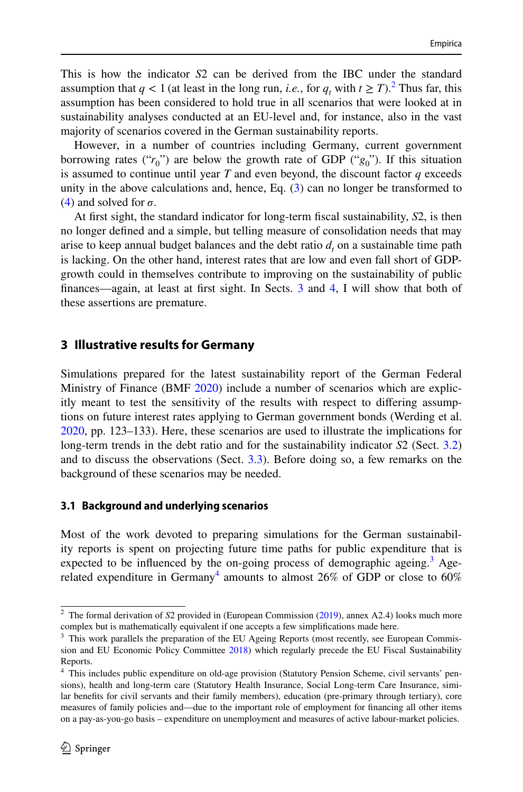This is how the indicator *S*2 can be derived from the IBC under the standard assumption that  $q < 1$  (at least in the long run, *i.e.*, for  $q_t$  with  $t \ge T$ ).<sup>2</sup> Thus far, this assumption has been considered to hold true in all scenarios that were looked at in sustainability analyses conducted at an EU-level and, for instance, also in the vast majority of scenarios covered in the German sustainability reports.

However, in a number of countries including Germany, current government borrowing rates (" $r_0$ ") are below the growth rate of GDP (" $g_0$ "). If this situation is assumed to continue until year *T* and even beyond, the discount factor *q* exceeds unity in the above calculations and, hence, Eq. [\(3](#page-2-2)) can no longer be transformed to [\(4](#page-2-3)) and solved for  $\sigma$ .

At frst sight, the standard indicator for long-term fscal sustainability, *S*2, is then no longer defned and a simple, but telling measure of consolidation needs that may arise to keep annual budget balances and the debt ratio  $d_t$  on a sustainable time path is lacking. On the other hand, interest rates that are low and even fall short of GDPgrowth could in themselves contribute to improving on the sustainability of public fnances—again, at least at frst sight. In Sects. [3](#page-3-0) and [4](#page-9-0), I will show that both of these assertions are premature.

# <span id="page-3-0"></span>**3 Illustrative results for Germany**

Simulations prepared for the latest sustainability report of the German Federal Ministry of Finance (BMF [2020\)](#page-16-1) include a number of scenarios which are explicitly meant to test the sensitivity of the results with respect to difering assumptions on future interest rates applying to German government bonds (Werding et al. [2020](#page-17-0), pp. 123–133). Here, these scenarios are used to illustrate the implications for long-term trends in the debt ratio and for the sustainability indicator *S*2 (Sect. [3.2](#page-5-0)) and to discuss the observations (Sect. [3.3\)](#page-8-0). Before doing so, a few remarks on the background of these scenarios may be needed.

# **3.1 Background and underlying scenarios**

Most of the work devoted to preparing simulations for the German sustainability reports is spent on projecting future time paths for public expenditure that is expected to be influenced by the on-going process of demographic ageing.<sup>[3](#page-3-2)</sup> Age-related expenditure in Germany<sup>[4](#page-3-3)</sup> amounts to almost  $26\%$  of GDP or close to  $60\%$ 

<span id="page-3-1"></span><sup>&</sup>lt;sup>2</sup> The formal derivation of *S*2 provided in (European Commission [\(2019](#page-16-0)), annex A2.4) looks much more complex but is mathematically equivalent if one accepts a few simplifcations made here.

<span id="page-3-2"></span><sup>&</sup>lt;sup>3</sup> This work parallels the preparation of the EU Ageing Reports (most recently, see European Commission and EU Economic Policy Committee [2018\)](#page-16-11) which regularly precede the EU Fiscal Sustainability Reports.

<span id="page-3-3"></span><sup>4</sup> This includes public expenditure on old-age provision (Statutory Pension Scheme, civil servants' pensions), health and long-term care (Statutory Health Insurance, Social Long-term Care Insurance, similar benefts for civil servants and their family members), education (pre-primary through tertiary), core measures of family policies and—due to the important role of employment for fnancing all other items on a pay-as-you-go basis – expenditure on unemployment and measures of active labour-market policies.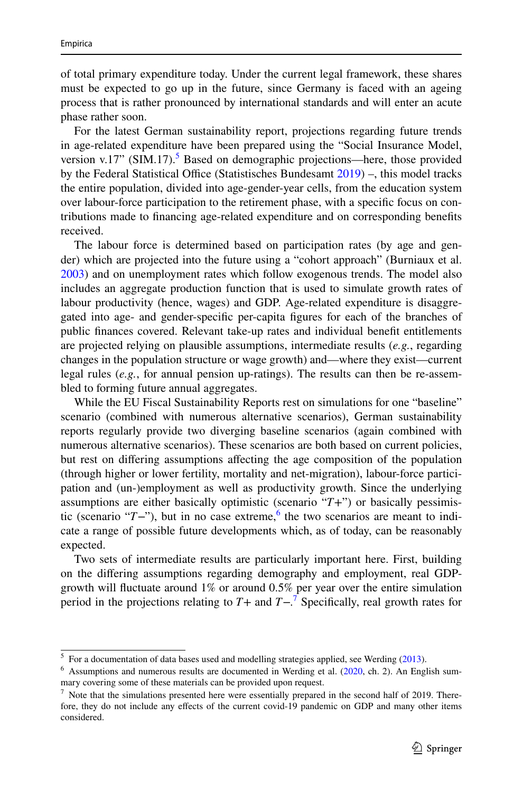of total primary expenditure today. Under the current legal framework, these shares must be expected to go up in the future, since Germany is faced with an ageing process that is rather pronounced by international standards and will enter an acute phase rather soon.

For the latest German sustainability report, projections regarding future trends in age-related expenditure have been prepared using the "Social Insurance Model, version v.17" (SIM.17).<sup>[5](#page-4-0)</sup> Based on demographic projections—here, those provided by the Federal Statistical Office (Statistisches Bundesamt  $2019$ ) –, this model tracks the entire population, divided into age-gender-year cells, from the education system over labour-force participation to the retirement phase, with a specifc focus on contributions made to fnancing age-related expenditure and on corresponding benefts received.

The labour force is determined based on participation rates (by age and gender) which are projected into the future using a "cohort approach" (Burniaux et al. [2003](#page-16-12)) and on unemployment rates which follow exogenous trends. The model also includes an aggregate production function that is used to simulate growth rates of labour productivity (hence, wages) and GDP. Age-related expenditure is disaggregated into age- and gender-specifc per-capita fgures for each of the branches of public fnances covered. Relevant take-up rates and individual beneft entitlements are projected relying on plausible assumptions, intermediate results (*e.g.*, regarding changes in the population structure or wage growth) and—where they exist—current legal rules (*e.g.*, for annual pension up-ratings). The results can then be re-assembled to forming future annual aggregates.

While the EU Fiscal Sustainability Reports rest on simulations for one "baseline" scenario (combined with numerous alternative scenarios), German sustainability reports regularly provide two diverging baseline scenarios (again combined with numerous alternative scenarios). These scenarios are both based on current policies, but rest on difering assumptions afecting the age composition of the population (through higher or lower fertility, mortality and net-migration), labour-force participation and (un-)employment as well as productivity growth. Since the underlying assumptions are either basically optimistic (scenario "*T*+") or basically pessimistic (scenario "*T*−"), but in no case extreme,<sup>6</sup> the two scenarios are meant to indicate a range of possible future developments which, as of today, can be reasonably expected.

Two sets of intermediate results are particularly important here. First, building on the difering assumptions regarding demography and employment, real GDPgrowth will fuctuate around 1% or around 0.5% per year over the entire simulation period in the projections relating to *T*+ and *T*−. [7](#page-4-2) Specifcally, real growth rates for

<span id="page-4-0"></span> $5$  For a documentation of data bases used and modelling strategies applied, see Werding [\(2013](#page-17-2)).

<span id="page-4-1"></span><sup>6</sup> Assumptions and numerous results are documented in Werding et al. ([2020,](#page-17-0) ch. 2). An English summary covering some of these materials can be provided upon request.

<span id="page-4-2"></span><sup>7</sup> Note that the simulations presented here were essentially prepared in the second half of 2019. Therefore, they do not include any efects of the current covid-19 pandemic on GDP and many other items considered.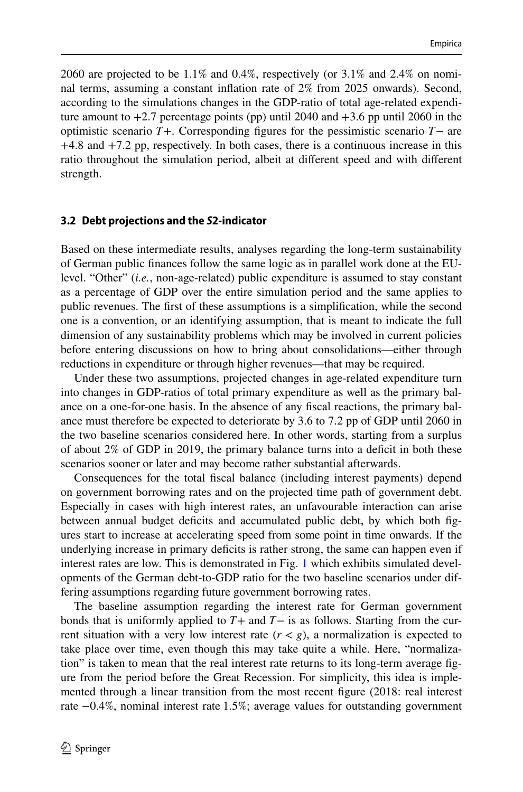2060 are projected to be 1.1% and 0.4%, respectively (or 3.1% and 2.4% on nominal terms, assuming a constant infation rate of 2% from 2025 onwards). Second, according to the simulations changes in the GDP-ratio of total age-related expenditure amount to  $+2.7$  percentage points (pp) until 2040 and  $+3.6$  pp until 2060 in the optimistic scenario *T*+. Corresponding fgures for the pessimistic scenario *T*− are +4.8 and +7.2 pp, respectively. In both cases, there is a continuous increase in this ratio throughout the simulation period, albeit at diferent speed and with diferent strength.

#### <span id="page-5-0"></span>**3.2 Debt projections and the** *S***2‑indicator**

Based on these intermediate results, analyses regarding the long-term sustainability of German public fnances follow the same logic as in parallel work done at the EUlevel. "Other" (*i.e.*, non-age-related) public expenditure is assumed to stay constant as a percentage of GDP over the entire simulation period and the same applies to public revenues. The frst of these assumptions is a simplifcation, while the second one is a convention, or an identifying assumption, that is meant to indicate the full dimension of any sustainability problems which may be involved in current policies before entering discussions on how to bring about consolidations—either through reductions in expenditure or through higher revenues—that may be required.

Under these two assumptions, projected changes in age-related expenditure turn into changes in GDP-ratios of total primary expenditure as well as the primary balance on a one-for-one basis. In the absence of any fscal reactions, the primary balance must therefore be expected to deteriorate by 3.6 to 7.2 pp of GDP until 2060 in the two baseline scenarios considered here. In other words, starting from a surplus of about 2% of GDP in 2019, the primary balance turns into a defcit in both these scenarios sooner or later and may become rather substantial afterwards.

Consequences for the total fscal balance (including interest payments) depend on government borrowing rates and on the projected time path of government debt. Especially in cases with high interest rates, an unfavourable interaction can arise between annual budget defcits and accumulated public debt, by which both fgures start to increase at accelerating speed from some point in time onwards. If the underlying increase in primary deficits is rather strong, the same can happen even if interest rates are low. This is demonstrated in Fig. [1](#page-6-0) which exhibits simulated developments of the German debt-to-GDP ratio for the two baseline scenarios under differing assumptions regarding future government borrowing rates.

The baseline assumption regarding the interest rate for German government bonds that is uniformly applied to *T*+ and *T*− is as follows. Starting from the current situation with a very low interest rate  $(r < g)$ , a normalization is expected to take place over time, even though this may take quite a while. Here, "normalization" is taken to mean that the real interest rate returns to its long-term average fgure from the period before the Great Recession. For simplicity, this idea is implemented through a linear transition from the most recent fgure (2018: real interest rate −0.4%, nominal interest rate 1.5%; average values for outstanding government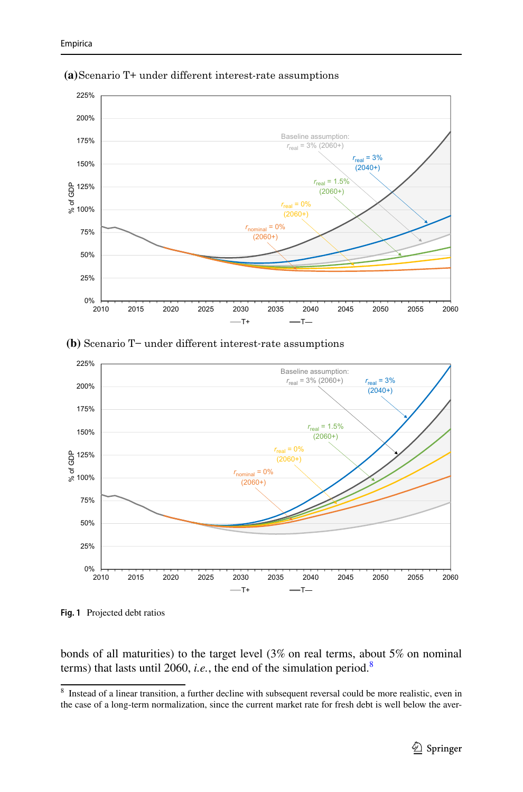

**(a)**Scenario T+ under different interest-rate assumptions

**(b)** Scenario T− under different interest-rate assumptions



<span id="page-6-0"></span>**Fig. 1** Projected debt ratios

bonds of all maturities) to the target level (3% on real terms, about 5% on nominal terms) that lasts until 2060, *i.e.*, the end of the simulation period[.8](#page-6-1)

<span id="page-6-1"></span><sup>8</sup> Instead of a linear transition, a further decline with subsequent reversal could be more realistic, even in the case of a long-term normalization, since the current market rate for fresh debt is well below the aver-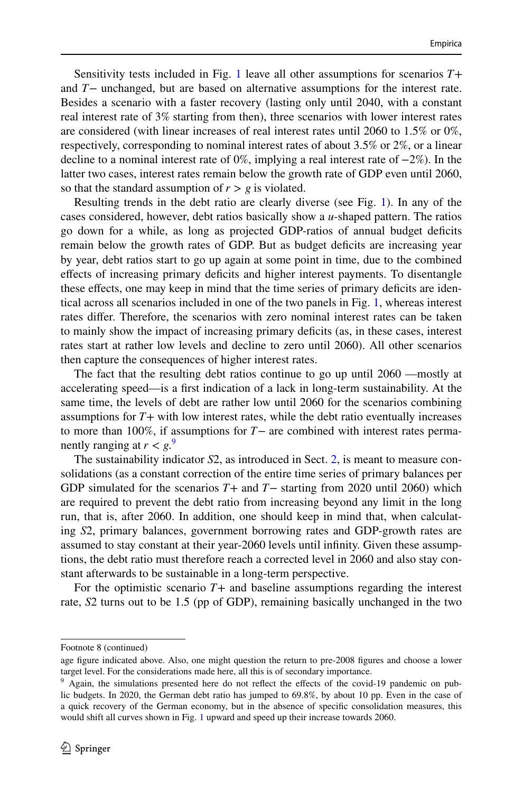Sensitivity tests included in Fig. [1](#page-6-0) leave all other assumptions for scenarios *T*+ and *T*− unchanged, but are based on alternative assumptions for the interest rate. Besides a scenario with a faster recovery (lasting only until 2040, with a constant real interest rate of 3% starting from then), three scenarios with lower interest rates are considered (with linear increases of real interest rates until 2060 to 1.5% or 0%, respectively, corresponding to nominal interest rates of about 3.5% or 2%, or a linear decline to a nominal interest rate of 0%, implying a real interest rate of −2%). In the latter two cases, interest rates remain below the growth rate of GDP even until 2060, so that the standard assumption of  $r > g$  is violated.

Resulting trends in the debt ratio are clearly diverse (see Fig. [1\)](#page-6-0). In any of the cases considered, however, debt ratios basically show a *u*-shaped pattern. The ratios go down for a while, as long as projected GDP-ratios of annual budget defcits remain below the growth rates of GDP. But as budget deficits are increasing year by year, debt ratios start to go up again at some point in time, due to the combined efects of increasing primary defcits and higher interest payments. To disentangle these effects, one may keep in mind that the time series of primary deficits are identical across all scenarios included in one of the two panels in Fig. [1,](#page-6-0) whereas interest rates difer. Therefore, the scenarios with zero nominal interest rates can be taken to mainly show the impact of increasing primary defcits (as, in these cases, interest rates start at rather low levels and decline to zero until 2060). All other scenarios then capture the consequences of higher interest rates.

The fact that the resulting debt ratios continue to go up until 2060 —mostly at accelerating speed—is a frst indication of a lack in long-term sustainability. At the same time, the levels of debt are rather low until 2060 for the scenarios combining assumptions for *T*+ with low interest rates, while the debt ratio eventually increases to more than 100%, if assumptions for *T*− are combined with interest rates permanently ranging at  $r < g<sup>9</sup>$  $r < g<sup>9</sup>$  $r < g<sup>9</sup>$ 

The sustainability indicator *S*2, as introduced in Sect. [2](#page-1-0), is meant to measure consolidations (as a constant correction of the entire time series of primary balances per GDP simulated for the scenarios *T*+ and *T*− starting from 2020 until 2060) which are required to prevent the debt ratio from increasing beyond any limit in the long run, that is, after 2060. In addition, one should keep in mind that, when calculating *S*2, primary balances, government borrowing rates and GDP-growth rates are assumed to stay constant at their year-2060 levels until infnity. Given these assumptions, the debt ratio must therefore reach a corrected level in 2060 and also stay constant afterwards to be sustainable in a long-term perspective.

For the optimistic scenario  $T+$  and baseline assumptions regarding the interest rate, *S*2 turns out to be 1.5 (pp of GDP), remaining basically unchanged in the two

Footnote 8 (continued)

age fgure indicated above. Also, one might question the return to pre-2008 fgures and choose a lower target level. For the considerations made here, all this is of secondary importance.

<span id="page-7-0"></span><sup>&</sup>lt;sup>9</sup> Again, the simulations presented here do not reflect the effects of the covid-19 pandemic on public budgets. In 2020, the German debt ratio has jumped to 69.8%, by about 10 pp. Even in the case of a quick recovery of the German economy, but in the absence of specifc consolidation measures, this would shift all curves shown in Fig. [1](#page-6-0) upward and speed up their increase towards 2060.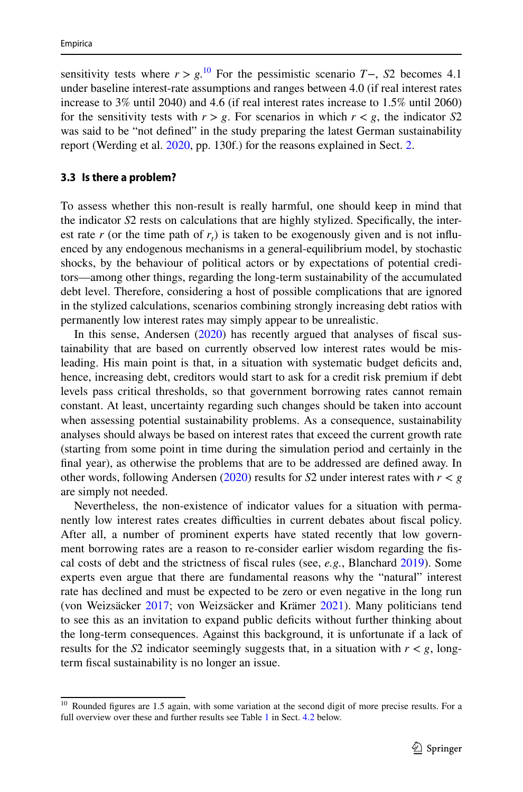sensitivity tests where  $r > g$ .<sup>[10](#page-8-1)</sup> For the pessimistic scenario  $T-$ ,  $S2$  becomes 4.1 under baseline interest-rate assumptions and ranges between 4.0 (if real interest rates increase to 3% until 2040) and 4.6 (if real interest rates increase to 1.5% until 2060) for the sensitivity tests with  $r > g$ . For scenarios in which  $r < g$ , the indicator *S*2 was said to be "not defined" in the study preparing the latest German sustainability report (Werding et al. [2020,](#page-17-0) pp. 130f.) for the reasons explained in Sect. [2](#page-1-0).

#### <span id="page-8-0"></span>**3.3 Is there a problem?**

To assess whether this non-result is really harmful, one should keep in mind that the indicator *S*2 rests on calculations that are highly stylized. Specifcally, the interest rate  $r$  (or the time path of  $r<sub>t</sub>$ ) is taken to be exogenously given and is not influenced by any endogenous mechanisms in a general-equilibrium model, by stochastic shocks, by the behaviour of political actors or by expectations of potential creditors—among other things, regarding the long-term sustainability of the accumulated debt level. Therefore, considering a host of possible complications that are ignored in the stylized calculations, scenarios combining strongly increasing debt ratios with permanently low interest rates may simply appear to be unrealistic.

In this sense, Andersen ([2020\)](#page-16-13) has recently argued that analyses of fscal sustainability that are based on currently observed low interest rates would be misleading. His main point is that, in a situation with systematic budget defcits and, hence, increasing debt, creditors would start to ask for a credit risk premium if debt levels pass critical thresholds, so that government borrowing rates cannot remain constant. At least, uncertainty regarding such changes should be taken into account when assessing potential sustainability problems. As a consequence, sustainability analyses should always be based on interest rates that exceed the current growth rate (starting from some point in time during the simulation period and certainly in the fnal year), as otherwise the problems that are to be addressed are defned away. In other words, following Andersen [\(2020](#page-16-13)) results for *S*2 under interest rates with  $r < g$ are simply not needed.

Nevertheless, the non-existence of indicator values for a situation with permanently low interest rates creates difculties in current debates about fscal policy. After all, a number of prominent experts have stated recently that low government borrowing rates are a reason to re-consider earlier wisdom regarding the fscal costs of debt and the strictness of fscal rules (see, *e.g.*, Blanchard [2019\)](#page-16-14). Some experts even argue that there are fundamental reasons why the "natural" interest rate has declined and must be expected to be zero or even negative in the long run (von Weizsäcker [2017](#page-17-3); von Weizsäcker and Krämer [2021](#page-17-4)). Many politicians tend to see this as an invitation to expand public defcits without further thinking about the long-term consequences. Against this background, it is unfortunate if a lack of results for the *S*2 indicator seemingly suggests that, in a situation with  $r < g$ , longterm fscal sustainability is no longer an issue.

<span id="page-8-1"></span><sup>&</sup>lt;sup>10</sup> Rounded figures are 1.5 again, with some variation at the second digit of more precise results. For a full overview over these and further results see Table [1](#page-12-0) in Sect. [4.2](#page-11-0) below.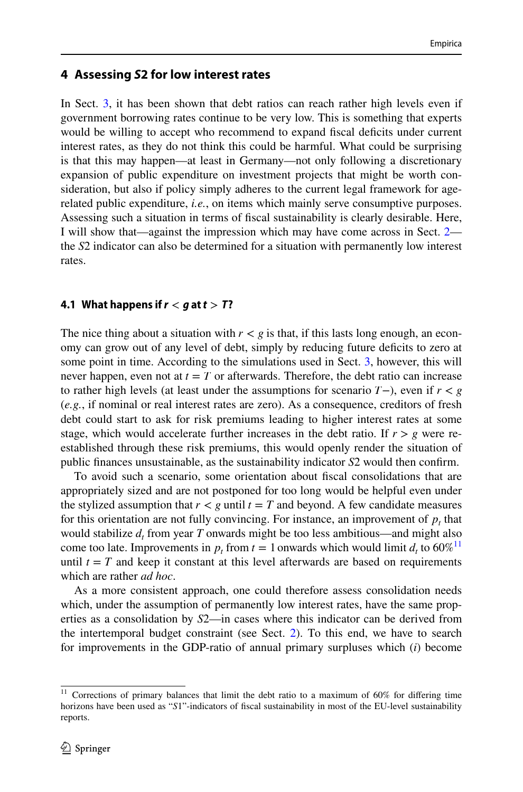## <span id="page-9-0"></span>**4 Assessing** *S***2 for low interest rates**

In Sect. [3,](#page-3-0) it has been shown that debt ratios can reach rather high levels even if government borrowing rates continue to be very low. This is something that experts would be willing to accept who recommend to expand fscal defcits under current interest rates, as they do not think this could be harmful. What could be surprising is that this may happen—at least in Germany—not only following a discretionary expansion of public expenditure on investment projects that might be worth consideration, but also if policy simply adheres to the current legal framework for agerelated public expenditure, *i.e.*, on items which mainly serve consumptive purposes. Assessing such a situation in terms of fscal sustainability is clearly desirable. Here, I will show that—against the impression which may have come across in Sect. [2](#page-1-0) the *S*2 indicator can also be determined for a situation with permanently low interest rates.

### <span id="page-9-2"></span>**4.1 What happens if**  $r < q$  **at**  $t > T$ **?**

The nice thing about a situation with  $r < g$  is that, if this lasts long enough, an economy can grow out of any level of debt, simply by reducing future deficits to zero at some point in time. According to the simulations used in Sect. [3](#page-3-0), however, this will never happen, even not at  $t = T$  or afterwards. Therefore, the debt ratio can increase to rather high levels (at least under the assumptions for scenario *T*−), even if *r < g* (*e.g.*, if nominal or real interest rates are zero). As a consequence, creditors of fresh debt could start to ask for risk premiums leading to higher interest rates at some stage, which would accelerate further increases in the debt ratio. If  $r > g$  were reestablished through these risk premiums, this would openly render the situation of public fnances unsustainable, as the sustainability indicator *S*2 would then confrm.

To avoid such a scenario, some orientation about fscal consolidations that are appropriately sized and are not postponed for too long would be helpful even under the stylized assumption that  $r < g$  until  $t = T$  and beyond. A few candidate measures for this orientation are not fully convincing. For instance, an improvement of  $p<sub>t</sub>$  that would stabilize  $d_t$  from year T onwards might be too less ambitious—and might also come too late. Improvements in  $p_t$  from  $t = 1$  onwards which would limit  $d_t$  to 60%<sup>[11](#page-9-1)</sup> until  $t = T$  and keep it constant at this level afterwards are based on requirements which are rather *ad hoc*.

As a more consistent approach, one could therefore assess consolidation needs which, under the assumption of permanently low interest rates, have the same properties as a consolidation by *S*2—in cases where this indicator can be derived from the intertemporal budget constraint (see Sect. [2\)](#page-1-0). To this end, we have to search for improvements in the GDP-ratio of annual primary surpluses which (*i*) become

<span id="page-9-1"></span><sup>&</sup>lt;sup>11</sup> Corrections of primary balances that limit the debt ratio to a maximum of 60% for differing time horizons have been used as "*S*1"-indicators of fscal sustainability in most of the EU-level sustainability reports.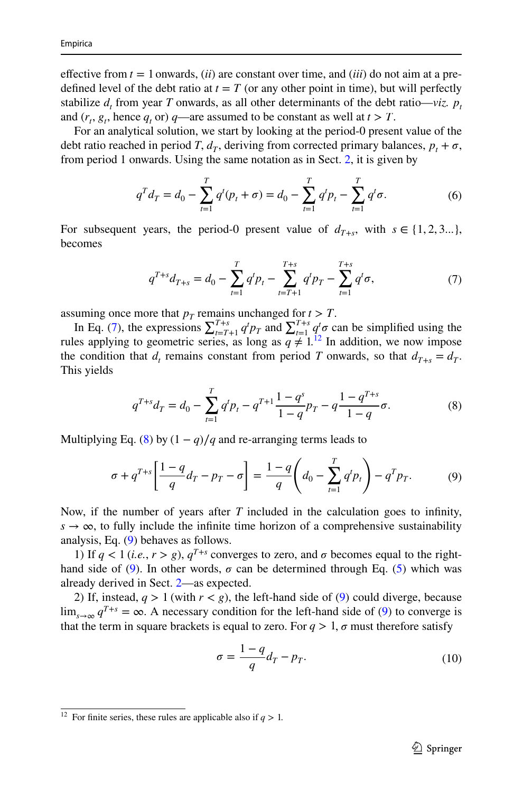effective from  $t = 1$  onwards, *(ii)* are constant over time, and *(iii)* do not aim at a predefined level of the debt ratio at  $t = T$  (or any other point in time), but will perfectly stabilize  $d_t$  from year *T* onwards, as all other determinants of the debt ratio—*viz.*  $p_t$ and  $(r_t, g_t)$ , hence  $q_t$  or)  $q$ —are assumed to be constant as well at  $t > T$ .

For an analytical solution, we start by looking at the period-0 present value of the debt ratio reached in period *T*,  $d_T$ , deriving from corrected primary balances,  $p_t + \sigma$ , from period 1 onwards. Using the same notation as in Sect. [2,](#page-1-0) it is given by

$$
q^T d_T = d_0 - \sum_{t=1}^T q^t (p_t + \sigma) = d_0 - \sum_{t=1}^T q^t p_t - \sum_{t=1}^T q^t \sigma.
$$
 (6)

For subsequent years, the period-0 present value of  $d_{T+s}$ , with  $s \in \{1, 2, 3...\}$ , becomes

<span id="page-10-5"></span><span id="page-10-0"></span>
$$
q^{T+s}d_{T+s} = d_0 - \sum_{t=1}^T q^t p_t - \sum_{t=T+1}^{T+s} q^t p_T - \sum_{t=1}^{T+s} q^t \sigma,
$$
 (7)

assuming once more that  $p_T$  remains unchanged for  $t > T$ .

In Eq. ([7\)](#page-10-0), the expressions  $\sum_{t=T+1}^{T+s} q^t p_T$  and  $\sum_{t=1}^{T+s} q^t \sigma$  can be simplified using the rules applying to geometric series, as long as  $q \neq 1$ .<sup>12</sup> In addition, we now impose the condition that  $d_t$  remains constant from period *T* onwards, so that  $d_{T+s} = d_T$ . This yields

<span id="page-10-2"></span>
$$
q^{T+s}d_T = d_0 - \sum_{t=1}^T q^t p_t - q^{T+1} \frac{1-q^s}{1-q} p_T - q \frac{1-q^{T+s}}{1-q} \sigma.
$$
 (8)

Multiplying Eq. ([8\)](#page-10-2) by  $(1 - q)/q$  and re-arranging terms leads to

$$
\sigma + q^{T+s} \left[ \frac{1-q}{q} d_T - p_T - \sigma \right] = \frac{1-q}{q} \left( d_0 - \sum_{t=1}^T q^t p_t \right) - q^T p_T. \tag{9}
$$

Now, if the number of years after *T* included in the calculation goes to infnity,  $s \to \infty$ , to fully include the infinite time horizon of a comprehensive sustainability analysis, Eq. [\(9](#page-10-3)) behaves as follows.

1) If  $q < 1$  (*i.e.*,  $r > g$ ),  $q^{T+s}$  converges to zero, and  $\sigma$  becomes equal to the righthand side of  $(9)$  $(9)$ . In other words,  $\sigma$  can be determined through Eq. [\(5](#page-2-4)) which was already derived in Sect. [2—](#page-1-0)as expected.

2) If, instead,  $q > 1$  (with  $r < g$ ), the left-hand side of [\(9](#page-10-3)) could diverge, because  $\lim_{s \to \infty} q^{T+s} = \infty$ . A necessary condition for the left-hand side of [\(9](#page-10-3)) to converge is that the term in square brackets is equal to zero. For  $q > 1$ ,  $\sigma$  must therefore satisfy

<span id="page-10-4"></span><span id="page-10-3"></span>
$$
\sigma = \frac{1 - q}{q} d_T - p_T. \tag{10}
$$

<span id="page-10-1"></span><sup>&</sup>lt;sup>12</sup> For finite series, these rules are applicable also if  $q > 1$ .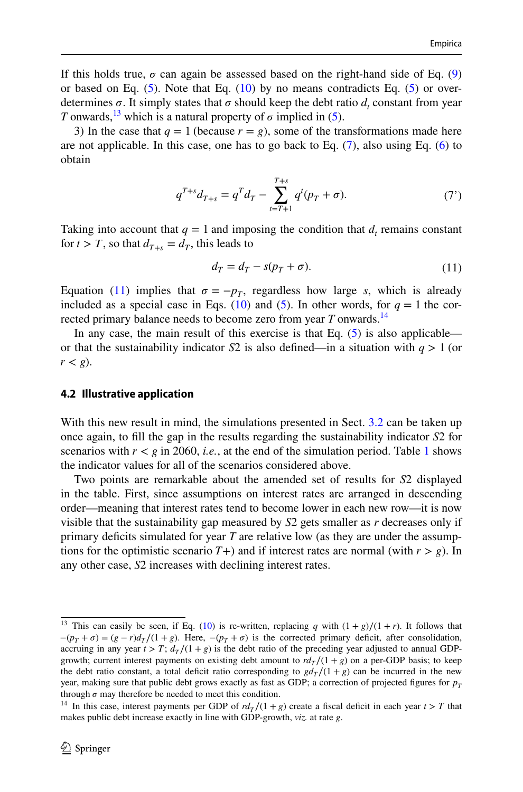If this holds true,  $\sigma$  can again be assessed based on the right-hand side of Eq. ([9\)](#page-10-3) or based on Eq.  $(5)$  $(5)$ . Note that Eq.  $(10)$  $(10)$  by no means contradicts Eq.  $(5)$  $(5)$  or overdetermines  $\sigma$ . It simply states that  $\sigma$  should keep the debt ratio  $d_t$  constant from year *T* onwards,<sup>13</sup> which is a natural property of  $\sigma$  implied in [\(5](#page-2-4)).

3) In the case that  $q = 1$  (because  $r = g$ ), some of the transformations made here are not applicable. In this case, one has to go back to Eq.  $(7)$  $(7)$ , also using Eq.  $(6)$  $(6)$  to obtain

$$
q^{T+s}d_{T+s} = q^T d_T - \sum_{t=T+1}^{T+s} q^t (p_T + \sigma).
$$
 (7')

Taking into account that  $q = 1$  and imposing the condition that  $d_t$  remains constant for  $t > T$ , so that  $d_{T+s} = d_T$ , this leads to

<span id="page-11-2"></span>
$$
d_T = d_T - s(p_T + \sigma). \tag{11}
$$

Equation ([11\)](#page-11-2) implies that  $\sigma = -p_T$ , regardless how large *s*, which is already included as a special case in Eqs. [\(10](#page-10-4)) and ([5\)](#page-2-4). In other words, for  $q = 1$  the corrected primary balance needs to become zero from year *T* onwards.<sup>14</sup>

In any case, the main result of this exercise is that Eq.  $(5)$  $(5)$  is also applicable or that the sustainability indicator *S*2 is also defined—in a situation with  $q > 1$  (or  $r < g$ ).

#### <span id="page-11-0"></span>**4.2 Illustrative application**

With this new result in mind, the simulations presented in Sect. [3.2](#page-5-0) can be taken up once again, to fll the gap in the results regarding the sustainability indicator *S*2 for scenarios with  $r < g$  in 2060, *i.e.*, at the end of the simulation period. Table [1](#page-12-0) shows the indicator values for all of the scenarios considered above.

Two points are remarkable about the amended set of results for *S*2 displayed in the table. First, since assumptions on interest rates are arranged in descending order—meaning that interest rates tend to become lower in each new row—it is now visible that the sustainability gap measured by *S*2 gets smaller as *r* decreases only if primary defcits simulated for year *T* are relative low (as they are under the assumptions for the optimistic scenario  $T+$ ) and if interest rates are normal (with  $r > g$ ). In any other case, *S*2 increases with declining interest rates.

<span id="page-11-1"></span><sup>&</sup>lt;sup>13</sup> This can easily be seen, if Eq. [\(10](#page-10-4)) is re-written, replacing *q* with  $(1+g)/(1+r)$ . It follows that  $-(p_T + \sigma) = (g - r)d_T/(1 + g)$ . Here,  $-(p_T + \sigma)$  is the corrected primary deficit, after consolidation, accruing in any year  $t > T$ ;  $d_T/(1+g)$  is the debt ratio of the preceding year adjusted to annual GDPgrowth; current interest payments on existing debt amount to  $r d_T/(1 + g)$  on a per-GDP basis; to keep the debt ratio constant, a total deficit ratio corresponding to  $gd<sub>T</sub>/(1+g)$  can be incurred in the new year, making sure that public debt grows exactly as fast as GDP; a correction of projected figures for  $p_T$ through  $\sigma$  may therefore be needed to meet this condition.

<span id="page-11-3"></span><sup>&</sup>lt;sup>14</sup> In this case, interest payments per GDP of  $rd_T/(1+g)$  create a fiscal deficit in each year  $t > T$  that makes public debt increase exactly in line with GDP-growth, *viz.* at rate *g*.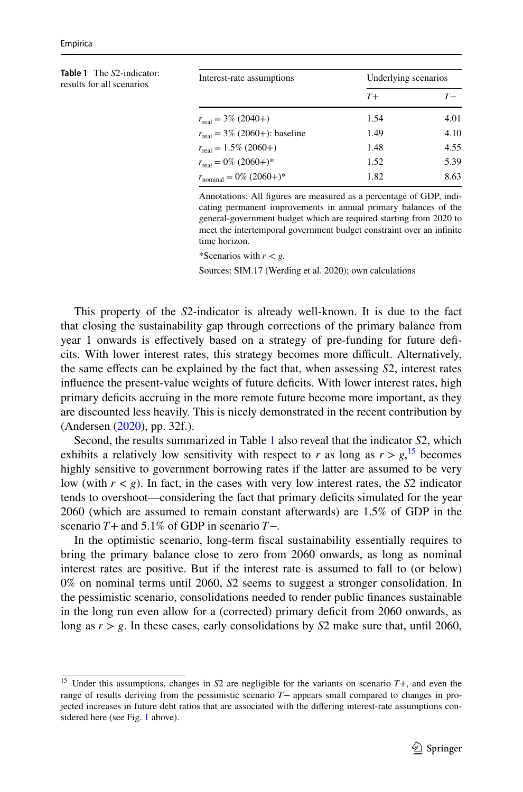<span id="page-12-0"></span>

| <b>Table 1</b> The S2-indicator:<br>results for all scenarios | Interest-rate assumptions                 | Underlying scenarios |       |
|---------------------------------------------------------------|-------------------------------------------|----------------------|-------|
|                                                               |                                           | $T+$                 | $T -$ |
|                                                               | $r_{\text{real}} = 3\% (2040+)$           | 1.54                 | 4.01  |
|                                                               | $r_{\text{real}} = 3\%$ (2060+): baseline | 1.49                 | 4.10  |
|                                                               | $r_{\text{real}} = 1.5\%$ (2060+)         | 1.48                 | 4.55  |
|                                                               | $r_{\text{real}} = 0\% (2060+)$ *         | 1.52                 | 5.39  |
|                                                               | $r_{\text{nominal}} = 0\% (2060+)$ *      | 1.82                 | 8.63  |

Annotations: All fgures are measured as a percentage of GDP, indicating permanent improvements in annual primary balances of the general-government budget which are required starting from 2020 to meet the intertemporal government budget constraint over an infnite time horizon.

\*Scenarios with  $r < g$ .

Sources: SIM.17 (Werding et al. 2020); own calculations

This property of the *S*2-indicator is already well-known. It is due to the fact that closing the sustainability gap through corrections of the primary balance from year 1 onwards is effectively based on a strategy of pre-funding for future deficits. With lower interest rates, this strategy becomes more difcult. Alternatively, the same efects can be explained by the fact that, when assessing *S*2, interest rates influence the present-value weights of future deficits. With lower interest rates, high primary defcits accruing in the more remote future become more important, as they are discounted less heavily. This is nicely demonstrated in the recent contribution by (Andersen ([2020\)](#page-16-13), pp. 32f.).

Second, the results summarized in Table [1](#page-12-0) also reveal that the indicator *S*2, which exhibits a relatively low sensitivity with respect to *r* as long as  $r > g$ ,<sup>[15](#page-12-1)</sup> becomes highly sensitive to government borrowing rates if the latter are assumed to be very low (with  $r < g$ ). In fact, in the cases with very low interest rates, the *S*2 indicator tends to overshoot—considering the fact that primary defcits simulated for the year 2060 (which are assumed to remain constant afterwards) are 1.5% of GDP in the scenario *T*+ and 5.1% of GDP in scenario *T*−.

In the optimistic scenario, long-term fscal sustainability essentially requires to bring the primary balance close to zero from 2060 onwards, as long as nominal interest rates are positive. But if the interest rate is assumed to fall to (or below) 0% on nominal terms until 2060, *S*2 seems to suggest a stronger consolidation. In the pessimistic scenario, consolidations needed to render public fnances sustainable in the long run even allow for a (corrected) primary defcit from 2060 onwards, as long as  $r > g$ . In these cases, early consolidations by  $S2$  make sure that, until 2060,

<span id="page-12-1"></span><sup>15</sup> Under this assumptions, changes in *S*2 are negligible for the variants on scenario *T*+, and even the range of results deriving from the pessimistic scenario *T*− appears small compared to changes in projected increases in future debt ratios that are associated with the difering interest-rate assumptions considered here (see Fig. [1](#page-6-0) above).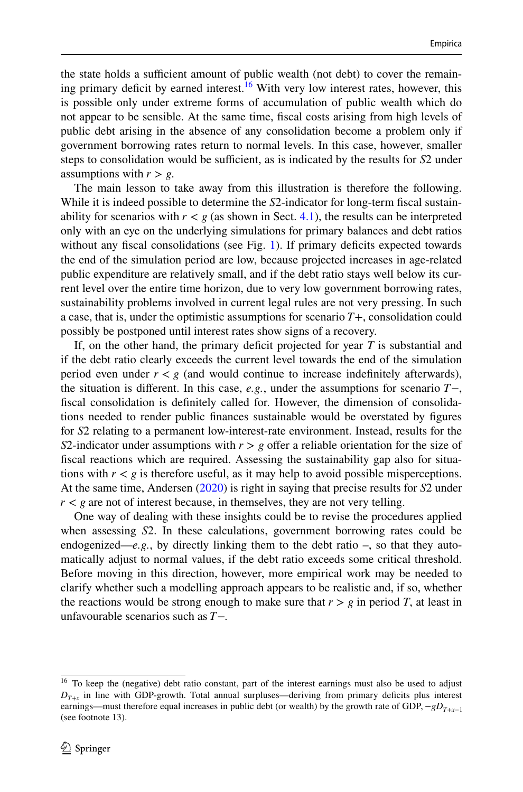the state holds a sufficient amount of public wealth (not debt) to cover the remain-ing primary deficit by earned interest.<sup>[16](#page-13-0)</sup> With very low interest rates, however, this is possible only under extreme forms of accumulation of public wealth which do not appear to be sensible. At the same time, fscal costs arising from high levels of public debt arising in the absence of any consolidation become a problem only if government borrowing rates return to normal levels. In this case, however, smaller steps to consolidation would be sufficient, as is indicated by the results for *S*2 under assumptions with  $r > g$ .

The main lesson to take away from this illustration is therefore the following. While it is indeed possible to determine the *S*2-indicator for long-term fiscal sustainability for scenarios with  $r < g$  (as shown in Sect. [4.1\)](#page-9-2), the results can be interpreted only with an eye on the underlying simulations for primary balances and debt ratios without any fiscal consolidations (see Fig. [1\)](#page-6-0). If primary deficits expected towards the end of the simulation period are low, because projected increases in age-related public expenditure are relatively small, and if the debt ratio stays well below its current level over the entire time horizon, due to very low government borrowing rates, sustainability problems involved in current legal rules are not very pressing. In such a case, that is, under the optimistic assumptions for scenario *T*+, consolidation could possibly be postponed until interest rates show signs of a recovery.

If, on the other hand, the primary defcit projected for year *T* is substantial and if the debt ratio clearly exceeds the current level towards the end of the simulation period even under  $r < g$  (and would continue to increase indefinitely afterwards), the situation is diferent. In this case, *e.g.*, under the assumptions for scenario *T*−, fscal consolidation is defnitely called for. However, the dimension of consolidations needed to render public fnances sustainable would be overstated by fgures for *S*2 relating to a permanent low-interest-rate environment. Instead, results for the *S*2-indicator under assumptions with  $r > g$  offer a reliable orientation for the size of fscal reactions which are required. Assessing the sustainability gap also for situations with  $r < g$  is therefore useful, as it may help to avoid possible misperceptions. At the same time, Andersen ([2020\)](#page-16-13) is right in saying that precise results for *S*2 under  $r < g$  are not of interest because, in themselves, they are not very telling.

One way of dealing with these insights could be to revise the procedures applied when assessing *S*2. In these calculations, government borrowing rates could be endogenized—*e.g.*, by directly linking them to the debt ratio –, so that they automatically adjust to normal values, if the debt ratio exceeds some critical threshold. Before moving in this direction, however, more empirical work may be needed to clarify whether such a modelling approach appears to be realistic and, if so, whether the reactions would be strong enough to make sure that  $r > g$  in period *T*, at least in unfavourable scenarios such as *T*−.

<span id="page-13-0"></span><sup>&</sup>lt;sup>16</sup> To keep the (negative) debt ratio constant, part of the interest earnings must also be used to adjust  $D_{T+x}$  in line with GDP-growth. Total annual surpluses—deriving from primary deficits plus interest earnings—must therefore equal increases in public debt (or wealth) by the growth rate of GDP, −*gDT*+*x*−<sup>1</sup> (see footnote 13).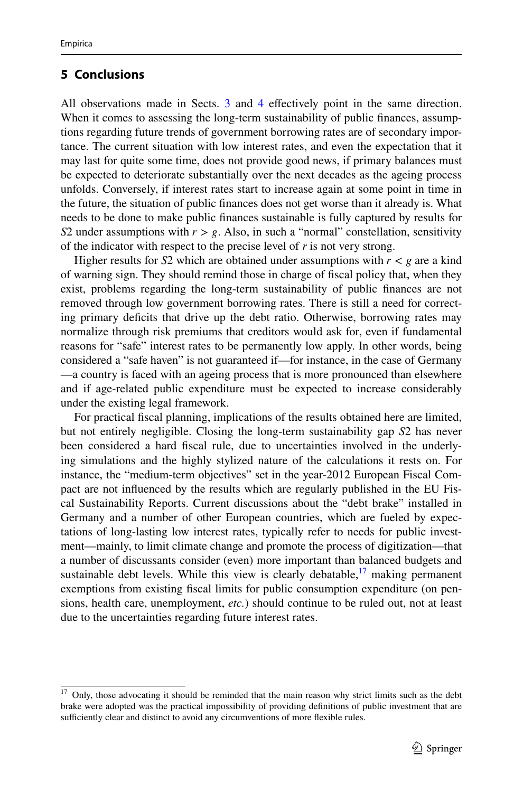# <span id="page-14-0"></span>**5 Conclusions**

All observations made in Sects. [3](#page-3-0) and [4](#page-9-0) efectively point in the same direction. When it comes to assessing the long-term sustainability of public finances, assumptions regarding future trends of government borrowing rates are of secondary importance. The current situation with low interest rates, and even the expectation that it may last for quite some time, does not provide good news, if primary balances must be expected to deteriorate substantially over the next decades as the ageing process unfolds. Conversely, if interest rates start to increase again at some point in time in the future, the situation of public fnances does not get worse than it already is. What needs to be done to make public fnances sustainable is fully captured by results for *S*2 under assumptions with  $r > g$ . Also, in such a "normal" constellation, sensitivity of the indicator with respect to the precise level of *r* is not very strong.

Higher results for *S*2 which are obtained under assumptions with  $r < g$  are a kind of warning sign. They should remind those in charge of fscal policy that, when they exist, problems regarding the long-term sustainability of public fnances are not removed through low government borrowing rates. There is still a need for correcting primary defcits that drive up the debt ratio. Otherwise, borrowing rates may normalize through risk premiums that creditors would ask for, even if fundamental reasons for "safe" interest rates to be permanently low apply. In other words, being considered a "safe haven" is not guaranteed if—for instance, in the case of Germany —a country is faced with an ageing process that is more pronounced than elsewhere and if age-related public expenditure must be expected to increase considerably under the existing legal framework.

For practical fscal planning, implications of the results obtained here are limited, but not entirely negligible. Closing the long-term sustainability gap *S*2 has never been considered a hard fscal rule, due to uncertainties involved in the underlying simulations and the highly stylized nature of the calculations it rests on. For instance, the "medium-term objectives" set in the year-2012 European Fiscal Compact are not infuenced by the results which are regularly published in the EU Fiscal Sustainability Reports. Current discussions about the "debt brake" installed in Germany and a number of other European countries, which are fueled by expectations of long-lasting low interest rates, typically refer to needs for public investment—mainly, to limit climate change and promote the process of digitization—that a number of discussants consider (even) more important than balanced budgets and sustainable debt levels. While this view is clearly debatable,  $17$  making permanent exemptions from existing fscal limits for public consumption expenditure (on pensions, health care, unemployment, *etc.*) should continue to be ruled out, not at least due to the uncertainties regarding future interest rates.

<span id="page-14-1"></span><sup>&</sup>lt;sup>17</sup> Only, those advocating it should be reminded that the main reason why strict limits such as the debt brake were adopted was the practical impossibility of providing defnitions of public investment that are sufficiently clear and distinct to avoid any circumventions of more flexible rules.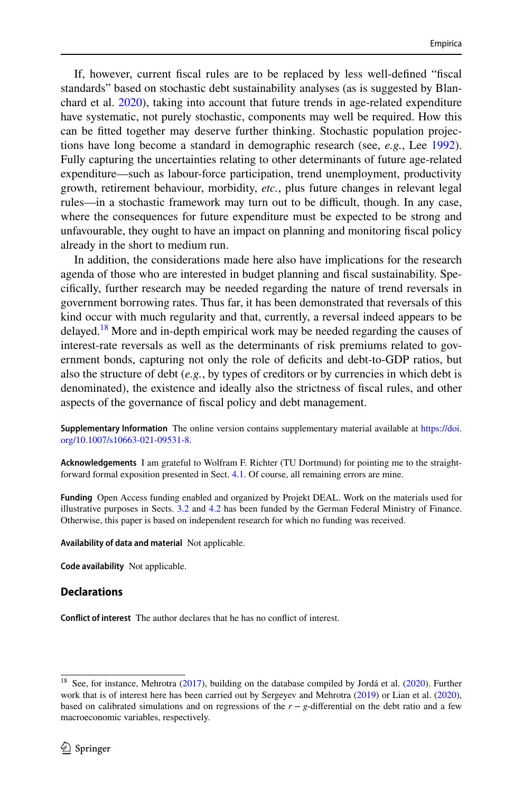If, however, current fscal rules are to be replaced by less well-defned "fscal standards" based on stochastic debt sustainability analyses (as is suggested by Blanchard et al. [2020\)](#page-16-15), taking into account that future trends in age-related expenditure have systematic, not purely stochastic, components may well be required. How this can be ftted together may deserve further thinking. Stochastic population projections have long become a standard in demographic research (see, *e.g.*, Lee [1992\)](#page-16-16). Fully capturing the uncertainties relating to other determinants of future age-related expenditure—such as labour-force participation, trend unemployment, productivity growth, retirement behaviour, morbidity, *etc.*, plus future changes in relevant legal rules—in a stochastic framework may turn out to be difficult, though. In any case, where the consequences for future expenditure must be expected to be strong and unfavourable, they ought to have an impact on planning and monitoring fscal policy already in the short to medium run.

In addition, the considerations made here also have implications for the research agenda of those who are interested in budget planning and fscal sustainability. Specifcally, further research may be needed regarding the nature of trend reversals in government borrowing rates. Thus far, it has been demonstrated that reversals of this kind occur with much regularity and that, currently, a reversal indeed appears to be delayed.<sup>[18](#page-15-0)</sup> More and in-depth empirical work may be needed regarding the causes of interest-rate reversals as well as the determinants of risk premiums related to government bonds, capturing not only the role of defcits and debt-to-GDP ratios, but also the structure of debt (*e.g.*, by types of creditors or by currencies in which debt is denominated), the existence and ideally also the strictness of fscal rules, and other aspects of the governance of fscal policy and debt management.

**Supplementary Information** The online version contains supplementary material available at [https://doi.](https://doi.org/10.1007/s10663-021-09531-8) [org/10.1007/s10663-021-09531-8](https://doi.org/10.1007/s10663-021-09531-8).

**Acknowledgements** I am grateful to Wolfram F. Richter (TU Dortmund) for pointing me to the straightforward formal exposition presented in Sect. [4.1](#page-9-2). Of course, all remaining errors are mine.

**Funding** Open Access funding enabled and organized by Projekt DEAL. Work on the materials used for illustrative purposes in Sects. [3.2](#page-5-0) and [4.2](#page-11-0) has been funded by the German Federal Ministry of Finance. Otherwise, this paper is based on independent research for which no funding was received.

**Availability of data and material** Not applicable.

**Code availability** Not applicable.

#### **Declarations**

**Confict of interest** The author declares that he has no confict of interest.

<span id="page-15-0"></span><sup>&</sup>lt;sup>18</sup> See, for instance, Mehrotra [\(2017](#page-16-17)), building on the database compiled by Jordá et al. [\(2020](#page-16-18)). Further work that is of interest here has been carried out by Sergeyev and Mehrotra [\(2019](#page-16-19)) or Lian et al. ([2020\)](#page-16-20), based on calibrated simulations and on regressions of the  $r - g$ -differential on the debt ratio and a few macroeconomic variables, respectively.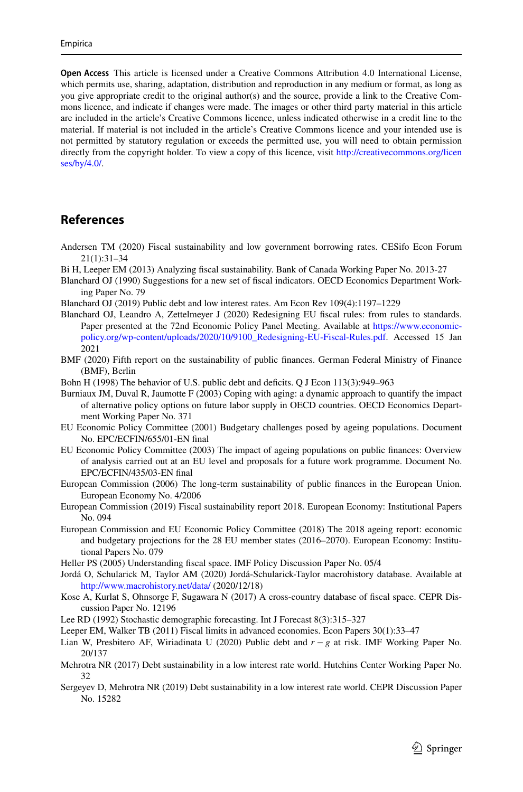**Open Access** This article is licensed under a Creative Commons Attribution 4.0 International License, which permits use, sharing, adaptation, distribution and reproduction in any medium or format, as long as you give appropriate credit to the original author(s) and the source, provide a link to the Creative Commons licence, and indicate if changes were made. The images or other third party material in this article are included in the article's Creative Commons licence, unless indicated otherwise in a credit line to the material. If material is not included in the article's Creative Commons licence and your intended use is not permitted by statutory regulation or exceeds the permitted use, you will need to obtain permission directly from the copyright holder. To view a copy of this licence, visit [http://creativecommons.org/licen](http://creativecommons.org/licenses/by/4.0/) [ses/by/4.0/](http://creativecommons.org/licenses/by/4.0/).

# **References**

- <span id="page-16-13"></span>Andersen TM (2020) Fiscal sustainability and low government borrowing rates. CESifo Econ Forum 21(1):31–34
- <span id="page-16-10"></span>Bi H, Leeper EM (2013) Analyzing fscal sustainability. Bank of Canada Working Paper No. 2013-27
- <span id="page-16-5"></span>Blanchard OJ (1990) Suggestions for a new set of fscal indicators. OECD Economics Department Working Paper No. 79
- <span id="page-16-14"></span>Blanchard OJ (2019) Public debt and low interest rates. Am Econ Rev 109(4):1197–1229
- <span id="page-16-15"></span>Blanchard OJ, Leandro A, Zettelmeyer J (2020) Redesigning EU fscal rules: from rules to standards. Paper presented at the 72nd Economic Policy Panel Meeting. Available at [https://www.economic](https://www.economic-policy.org/wp-content/uploads/2020/10/9100_Redesigning-EU-Fiscal-Rules.pdf)[policy.org/wp-content/uploads/2020/10/9100\\_Redesigning-EU-Fiscal-Rules.pdf](https://www.economic-policy.org/wp-content/uploads/2020/10/9100_Redesigning-EU-Fiscal-Rules.pdf). Accessed 15 Jan 2021
- <span id="page-16-1"></span>BMF (2020) Fifth report on the sustainability of public fnances. German Federal Ministry of Finance (BMF), Berlin
- <span id="page-16-6"></span>Bohn H (1998) The behavior of U.S. public debt and deficits. Q J Econ 113(3):949–963
- <span id="page-16-12"></span>Burniaux JM, Duval R, Jaumotte F (2003) Coping with aging: a dynamic approach to quantify the impact of alternative policy options on future labor supply in OECD countries. OECD Economics Department Working Paper No. 371
- <span id="page-16-3"></span>EU Economic Policy Committee (2001) Budgetary challenges posed by ageing populations. Document No. EPC/ECFIN/655/01-EN fnal
- <span id="page-16-4"></span>EU Economic Policy Committee (2003) The impact of ageing populations on public fnances: Overview of analysis carried out at an EU level and proposals for a future work programme. Document No. EPC/ECFIN/435/03-EN fnal
- <span id="page-16-2"></span>European Commission (2006) The long-term sustainability of public fnances in the European Union. European Economy No. 4/2006
- <span id="page-16-0"></span>European Commission (2019) Fiscal sustainability report 2018. European Economy: Institutional Papers No. 094
- <span id="page-16-11"></span>European Commission and EU Economic Policy Committee (2018) The 2018 ageing report: economic and budgetary projections for the 28 EU member states (2016–2070). European Economy: Institutional Papers No. 079
- <span id="page-16-7"></span>Heller PS (2005) Understanding fscal space. IMF Policy Discussion Paper No. 05/4
- <span id="page-16-18"></span>Jordá O, Schularick M, Taylor AM (2020) Jordá-Schularick-Taylor macrohistory database. Available at <http://www.macrohistory.net/data/> (2020/12/18)
- <span id="page-16-8"></span>Kose A, Kurlat S, Ohnsorge F, Sugawara N (2017) A cross-country database of fscal space. CEPR Discussion Paper No. 12196
- <span id="page-16-16"></span>Lee RD (1992) Stochastic demographic forecasting. Int J Forecast 8(3):315–327
- <span id="page-16-9"></span>Leeper EM, Walker TB (2011) Fiscal limits in advanced economies. Econ Papers 30(1):33–47
- <span id="page-16-20"></span>Lian W, Presbitero AF, Wiriadinata U (2020) Public debt and *r* − *g* at risk. IMF Working Paper No. 20/137
- <span id="page-16-17"></span>Mehrotra NR (2017) Debt sustainability in a low interest rate world. Hutchins Center Working Paper No. 32
- <span id="page-16-19"></span>Sergeyev D, Mehrotra NR (2019) Debt sustainability in a low interest rate world. CEPR Discussion Paper No. 15282